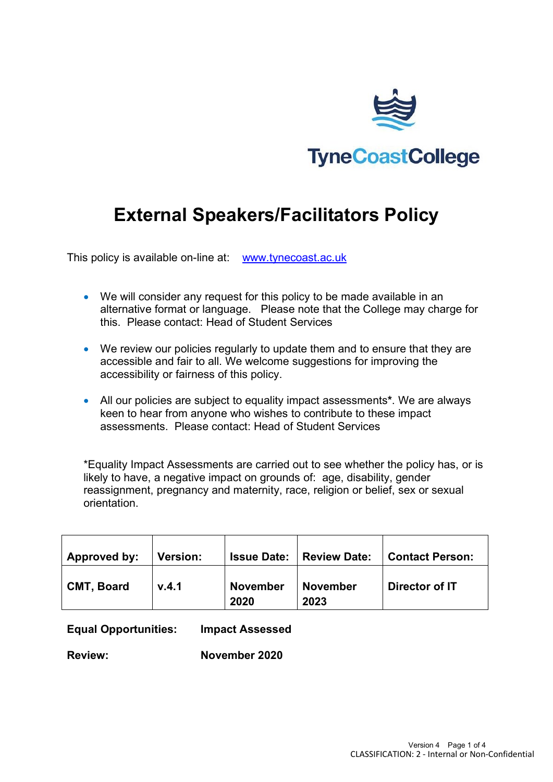

# **External Speakers/Facilitators Policy**

This policy is available on-line at: [www.tynecoast.ac.uk](http://www.tynecoast.ac.uk/)

- We will consider any request for this policy to be made available in an alternative format or language. Please note that the College may charge for this. Please contact: Head of Student Services
- We review our policies regularly to update them and to ensure that they are accessible and fair to all. We welcome suggestions for improving the accessibility or fairness of this policy.
- All our policies are subject to equality impact assessments**\***. We are always keen to hear from anyone who wishes to contribute to these impact assessments. Please contact: Head of Student Services

\*Equality Impact Assessments are carried out to see whether the policy has, or is likely to have, a negative impact on grounds of: age, disability, gender reassignment, pregnancy and maternity, race, religion or belief, sex or sexual orientation.

| Approved by:      | <b>Version:</b> | <b>Issue Date:</b>      | <b>Review Date:</b>     | <b>Contact Person:</b> |
|-------------------|-----------------|-------------------------|-------------------------|------------------------|
| <b>CMT, Board</b> | V.4.1           | <b>November</b><br>2020 | <b>November</b><br>2023 | Director of IT         |

**Equal Opportunities: Impact Assessed**

**Review: November 2020**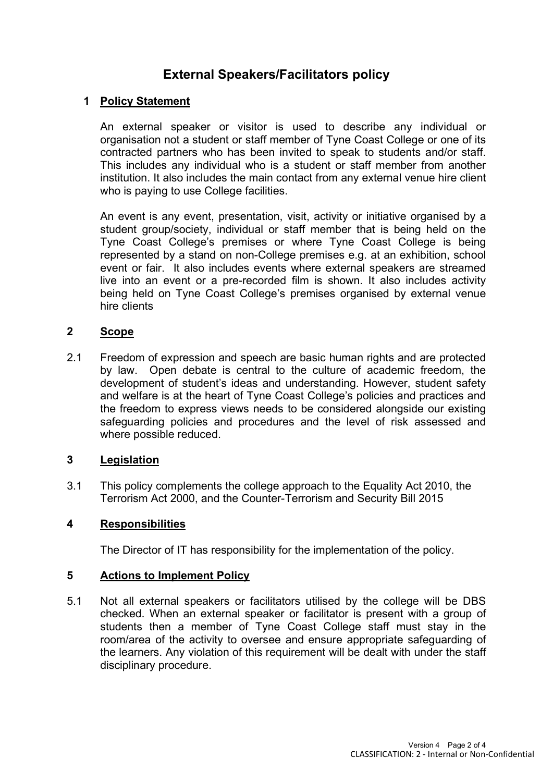## **External Speakers/Facilitators policy**

#### **1 Policy Statement**

An external speaker or visitor is used to describe any individual or organisation not a student or staff member of Tyne Coast College or one of its contracted partners who has been invited to speak to students and/or staff. This includes any individual who is a student or staff member from another institution. It also includes the main contact from any external venue hire client who is paying to use College facilities.

An event is any event, presentation, visit, activity or initiative organised by a student group/society, individual or staff member that is being held on the Tyne Coast College's premises or where Tyne Coast College is being represented by a stand on non-College premises e.g. at an exhibition, school event or fair. It also includes events where external speakers are streamed live into an event or a pre-recorded film is shown. It also includes activity being held on Tyne Coast College's premises organised by external venue hire clients

#### **2 Scope**

2.1 Freedom of expression and speech are basic human rights and are protected by law. Open debate is central to the culture of academic freedom, the development of student's ideas and understanding. However, student safety and welfare is at the heart of Tyne Coast College's policies and practices and the freedom to express views needs to be considered alongside our existing safeguarding policies and procedures and the level of risk assessed and where possible reduced.

#### **3 Legislation**

3.1 This policy complements the college approach to the Equality Act 2010, the Terrorism Act 2000, and the Counter-Terrorism and Security Bill 2015

#### **4 Responsibilities**

The Director of IT has responsibility for the implementation of the policy.

#### **5 Actions to Implement Policy**

5.1 Not all external speakers or facilitators utilised by the college will be DBS checked. When an external speaker or facilitator is present with a group of students then a member of Tyne Coast College staff must stay in the room/area of the activity to oversee and ensure appropriate safeguarding of the learners. Any violation of this requirement will be dealt with under the staff disciplinary procedure.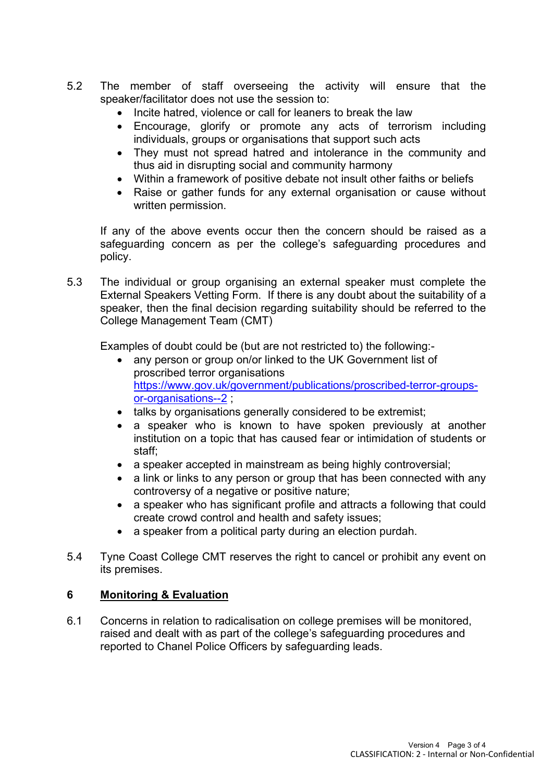- 5.2 The member of staff overseeing the activity will ensure that the speaker/facilitator does not use the session to:
	- Incite hatred, violence or call for leaners to break the law
	- Encourage, glorify or promote any acts of terrorism including individuals, groups or organisations that support such acts
	- They must not spread hatred and intolerance in the community and thus aid in disrupting social and community harmony
	- Within a framework of positive debate not insult other faiths or beliefs
	- Raise or gather funds for any external organisation or cause without written permission.

If any of the above events occur then the concern should be raised as a safeguarding concern as per the college's safeguarding procedures and policy.

5.3 The individual or group organising an external speaker must complete the External Speakers Vetting Form. If there is any doubt about the suitability of a speaker, then the final decision regarding suitability should be referred to the College Management Team (CMT)

Examples of doubt could be (but are not restricted to) the following:-

- any person or group on/or linked to the UK Government list of proscribed terror organisations [https://www.gov.uk/government/publications/proscribed-terror-groups](https://www.gov.uk/government/publications/proscribed-terror-groups-or-organisations--2)[or-organisations--2](https://www.gov.uk/government/publications/proscribed-terror-groups-or-organisations--2) ;
- talks by organisations generally considered to be extremist;
- a speaker who is known to have spoken previously at another institution on a topic that has caused fear or intimidation of students or staff;
- a speaker accepted in mainstream as being highly controversial;
- a link or links to any person or group that has been connected with any controversy of a negative or positive nature;
- a speaker who has significant profile and attracts a following that could create crowd control and health and safety issues;
- a speaker from a political party during an election purdah.
- 5.4 Tyne Coast College CMT reserves the right to cancel or prohibit any event on its premises.

### **6 Monitoring & Evaluation**

6.1 Concerns in relation to radicalisation on college premises will be monitored, raised and dealt with as part of the college's safeguarding procedures and reported to Chanel Police Officers by safeguarding leads.